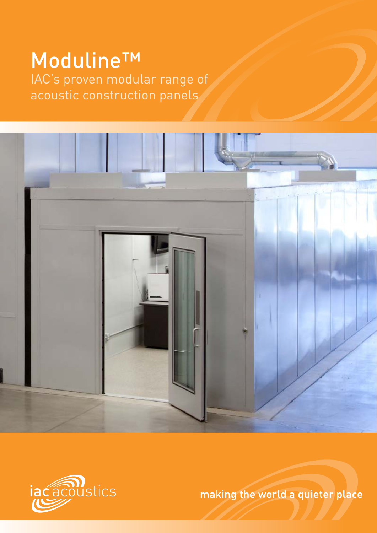## Moduline™ IAC's proven modular range of acoustic construction panels





making the world a quieter place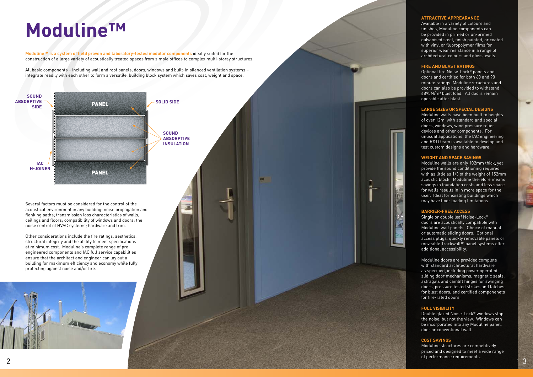**Moduline™ is a system of field proven and laboratory-tested modular components** ideally suited for the construction of a large variety of acoustically treated spaces from simple offices to complex multi-storey structures.

All basic components – including wall and roof panels, doors, windows and built-in silenced ventilation systems – integrate readily with each other to form a versatile, building block system which saves cost, weight and space.

# **Moduline™**

Several factors must be considered for the control of the acoustical environment in any building: noise propagation and flanking paths; transmission loss characteristics of walls, ceilings and floors; compatibility of windows and doors; the noise control of HVAC systems; hardware and trim.

Other considerations include the fire ratings, aesthetics, structural integrity and the ability to meet specifications at minimum cost. Moduline's complete range of preengineered components and IAC full service capabilities ensure that the architect and engineer can lay out a building for maximum efficiency and economy while fully protecting against noise and/or fire.



#### **ATTRACTIVE APPREARANCE**

Available in a variety of colours and finishes, Moduline components can be provided in primed or un-primed galvanised steel, finish painted, or coated with vinyl or fluoropolymer films for superior wear resistance in a range of architectural colours and gloss levels.

#### **FIRE AND BLAST RATINGS**

Optional fire Noise-Lock ® panels and doors and certified for both 60 and 90 minute ratings. Moduline structures and doors can also be provided to withstand 6895N/m² blast load. All doors remain operable after blast.

#### **LARGE SIZES OR SPECIAL DESIGNS**

Moduline walls have been built to heights of over 12m. with standard and special doors, windows, wind pressure relief devices and other components. For unusual applications, the IAC engineering and R&D team is available to develop and test custom designs and hardware.

#### **WEIGHT AND SPACE SAVINGS**

Moduline walls are only 102mm thick, yet provide the sound conditioning required with as little as 1/3 of the weight of 152mm acoustic block. Moduline therefore means savings in foundation costs and less space for walls results in in more space for the user. Ideal for existing buildings which may have floor loading limitations.

#### **BARRIER-FREE ACCESS**

Single or double leaf Noise-Lock ® doors are acoustically compatible with Moduline wall panels. Choice of manual or automatic sliding doors. Optional access plugs, quickly removable panels or moveable Trackwall™ panel systems offer additional accessibility.

Moduline doors are provided complete with standard architectural hardware as specified, including power operated sliding door mechanisms, magnetic seals, astragals and camlift hinges for swinging doors, pressure tested strikes and latches for blast doors, and certified componenets for fire-rated doors.

#### **FULL VISIBILITY**

Double glazed Noise-Lock ® windows stop the noise, but not the view. Windows can be incorporated into any Moduline panel, door or conventional wall.

#### **COST SAVINGS**

Moduline structures are competitively priced and designed to meet a wide range of performance requirements.

**3**

3

**sound absorptive insulation**

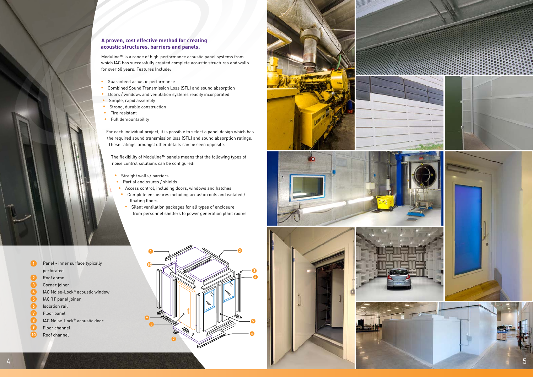$\bullet$ Panel - inner surface typically 1<br>2<br>3<br>4<br>5<br>6<br>7<br>8<br>9 perforated  $\bullet$ Roof apron 3 Corner joiner  $\bullet$ IAC Noise-Lock ® acoustic window 6 IAC 'H' panel joiner O Isolation rail  $\bullet$ Floor panel 8 IAC Noise-Lock ® acoustic door  $\bullet$ Floor channel **10** Roof channel

#### **A proven, cost effective method for creating acoustic structures, barriers and panels.**

Moduline™ is a range of high-performance acoustic panel systems from which IAC has successfully created complete acoustic structures and walls for over 60 years. Features Include:

- **•** Guaranteed acoustic performance
- **•** Combined Sound Transmission Loss (STL) and sound absorption
- **•** Doors / windows and ventilation systems readily incorporated
- **•** Simple, rapid assembly
- **•** Strong, durable construction
- **•** Fire resistant
- **•** Full demountability

- Straight walls / barriers
- Partial enclosures / shields
- Access control, including doors, windows and hatches
- Complete enclosures including acoustic roofs and isolated / floating floors
- **•** Silent ventilation packages for all types of enclosure from personnel shelters to power generation plant rooms

For each individual project, it is possible to select a panel design which has the required sound transmission loss (STL) and sound absorption ratings. These ratings, amongst other details can be seen opposite.

The flexibility of Moduline™ panels means that the following types of noise control solutions can be configured:







5

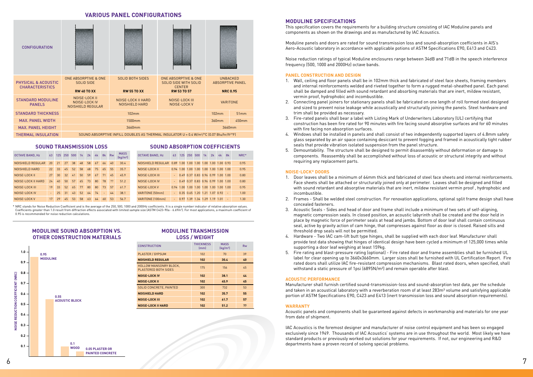#### **Moduline Specifications**

This specification covers the requirements for a building structure consisting of IAC Moduline panels and components as shown on the drawings and as manufactured by IAC Acoustics.

Moduline panels and doors are rated for sound transmission loss and sound-absorption coefficients in AIS's Aero-Acoustic laboratory in accordance with applicable potions of ASTM Specifications E90, E413 and C423.

Noise reduction ratings of typical Moduline enclosures range between 34dB and 71dB in the speech interference frequency (500, 1000 and 2000Hz) octave bands.

#### **Panel Construction and Design**

- 1. Wall, ceiling and floor panels shall be in 102mm thick and fabricated of steel face sheets, framing members and internal reinforcements welded and riveted together to form a rugged metal-sheathed panel. Each panel shall be damped and filled with sound retardant and absorbing materials that are inert, mildew resistant, vermin proof, hydrophobic and incombustible.
- 2. Connecting panel joiners for stationary panels shall be fabricated on one length of roll formed steel designed and sized to prevent noise leakage while acoustically and structurally joining the panels. Steel hardware and trim shall be provided as necessary.
- 3. Fire-rated panels shall bear a label with Listing Mark of Underwriters Laboratory (UL) certifying that construction has been fire rated for 90 minutes with fire facing sound absorptive surfaces and for 60 minutes with fire facing non absorption surfaces.
- glass separated by an air space containing desiccant to prevent fogging and framed in acoustically tight rubber seals that provide vibration isolated suspension from the panel structure.
- 5. Demountability. The structure shall be designed to permit disassembly without deformation or damage to components. Reassembly shall be accomplished without loss of acoustic or structural integrity and without requiring any replacement parts.

- 1. Door leaves shall be a minimum of 64mm thick and fabricated of steel face sheets and internal reinforcements. Face sheets shall be attached or structurally joined only at perimeter. Leaves shall be designed and filled with sound retardant and absorptive materials that are inert, mildew resistant vermin proof , hydrophobic and incombustible.
- concealed fasteners.
- 3. Acoustic Seals Sides and head of door and frame shall include a minimum of two sets of self-aligning, magnetic compression seals. In closed position, an acoustic labyrinth shall be created and the door held in place by magnetic force of perimeter seals at head and jambs. Bottom of door leaf shall contain continuous seal, active by gravity action of cam hinge, that compresses against floor as door is closed. Raised sills and threshold drop seals will not be permitted.
- 4. Hardware Two IAC cam-lift butt type hinges, shall be supplied with each door leaf. Manufacturer shall provide test data showing that hinges of identical design have been cycled a minimum of 125,000 times while supporting a door leaf weighing at least 159kg.
- 5. Fire rating and blast-pressure rating (optional) Fire rated door and frame assemblies shall be furnished UL label for clear opening up to 3660x3660mm. Larger sizes shall be furnished with UL Certification Report. Fire rated doors shall utilize IAC fire-resistant compression mechanisms. Blast rated doors, when specified, shall withstand a static pressure of 1psi (6895N/m<sup>2</sup>) and remain operable after blast.

#### **Noise-Lock® Doors**



#### **Acoustic Performance**

Manufacturer shall furnish certified sound-transmission-loss and sound-absorption test data, per the schedule and taken in an acoustical laboratory with a reverberation room of at least 283m<sup>3</sup> volume and satisfying applicable portion of ASTM Specifications E90, C423 and E413 (inert transmission loss and sound absorption requirements).

#### **Warranty**

Acoustic panels and components shall be guaranteed against defects in workmanship and materials for one year from date of shipment.

IAC Acoustics is the foremost designer and manufacturer of noise control equipment and has been so engaged exclusively since 1949. Thousands of IAC Acoustics' systems are in use throughout the world. Most likely we have standard products or previously worked out solutions for your requirements. If not, our engineering and R&D departments have a proven record of solving special problems.

4. Windows shall be installed in panels and shall consist of two independently supported layers of 4.8mm safety

2. Frames - Shall be welded steel construction. For renovation applications, optional split frame design shall have

#### **Various Panel Configurations**

| <b>CONFIGURATION</b>                                     |                                                                            |                                                                                                                      |       |  |  |  |  |  |  |
|----------------------------------------------------------|----------------------------------------------------------------------------|----------------------------------------------------------------------------------------------------------------------|-------|--|--|--|--|--|--|
| <b>PHYSICAL &amp; ACOUSTIC</b><br><b>CHARACTERISTICS</b> | <b>ONE ABSORPTIVE &amp; ONE</b><br><b>SOLID SIDE</b><br><b>RW 40 TO XX</b> | <b>UNBACKED</b><br><b>ABSORPTIVE PANEL</b><br><b>NRC 0.95</b>                                                        |       |  |  |  |  |  |  |
| <b>STANDARD MODULINE</b><br><b>PANELS</b>                | NOISE-LOCK II<br>NOISE-LOCK IV<br><b>NOISHIELD REGULAR</b>                 | VARITONE                                                                                                             |       |  |  |  |  |  |  |
| <b>STANDARD THICKNESS</b>                                |                                                                            | 102mm                                                                                                                | 51mm  |  |  |  |  |  |  |
| <b>MAX. PANEL WIDTH</b>                                  |                                                                            | 360mm                                                                                                                | 450mm |  |  |  |  |  |  |
| <b>MAX. PANEL HEIGHT</b>                                 | 3660mm<br>3660mm                                                           |                                                                                                                      |       |  |  |  |  |  |  |
| <b>THERMAL INSULATION</b>                                |                                                                            | SOUND ABSORPTIVE INFILL DOUBLES AS THERMAL INSULATOR U = $0.4$ W/m <sup>2</sup> /°C (0.07 Btu/hr/ft <sup>2</sup> °F) |       |  |  |  |  |  |  |

#### **Sound Transmission Loss**

| <b>OCTAVE BAND, Hz</b> | 63             | 125 | 250 | 500 | 1 <sub>k</sub> | 2k | 4k | 8k                       | <b>Rw</b> | <b>MASS</b><br>$\left[\frac{kg}{m^2}\right]$ |
|------------------------|----------------|-----|-----|-----|----------------|----|----|--------------------------|-----------|----------------------------------------------|
| NOISHIELD REGULAR      | 20             | 21  | 27  | 38  | 48             | 58 | 67 | 66                       | 40        | 30.4                                         |
| NOISHIELD HARD         | 22             | 33  | 45  | 52  | 58             | 68 | 75 | 65                       | 55        | 35.7                                         |
| NOISE-LOCK II          | 27             | 30  | 32  | 41  | 50             | 59 | 67 | 71                       | 45        | 45.9                                         |
| NOISE-LOCK II HARD     | 24             | 40  | 50  | 57  | 65             | 73 | 80 | 78                       | 22        | 51.2                                         |
| NOISE-LOCK III         | 19             | 33  | 52  | 65  | 77             | 80 | 80 | 73                       | 57        | 61.7                                         |
| NOISE-LOCK IV          | $\overline{a}$ | 25  | 31  | 43  | 52             | 64 | 74 | $\overline{\phantom{0}}$ | 44        | 38.1                                         |
| NOISE-LOCK V           | 17             | 29  | 45  | 53  | 58             | 63 | 64 | 60                       | 53        | 56.7                                         |

#### **Sound Absorption Coefficients**

| <b>OCTAVE BAND, Hz</b> |                     | 63 125 250 500 1k                       |  |                                    | 2k | 4k | - 8k | NRC* |
|------------------------|---------------------|-----------------------------------------|--|------------------------------------|----|----|------|------|
|                        |                     |                                         |  |                                    |    |    |      | 0.95 |
| NOISE-LOCK II          |                     | 0.94 1.00 1.00 1.00 1.00 1.00 1.00 1.00 |  |                                    |    |    |      | 0.95 |
| NOISE-LOCK III         | $\omega_{\rm{max}}$ |                                         |  | 0.49 0.37 0.83 0.96 0.99 1.00 1.00 |    |    |      | 0.80 |
| NOISE-LOCK IV          | $\omega_{\rm{max}}$ |                                         |  | 0.49 0.37 0.83 0.96 0.99 1.00 1.00 |    |    |      | 0.80 |
| NOISE-LOCK V           |                     | 0.94 1.00 1.00 1.00 1.00 1.00 1.00 1.00 |  |                                    |    |    |      | 0.95 |
| VARITONE (50mm)        |                     | $-$ 0.35 0.65 1.20 1.21 1.07 0.92       |  |                                    |    |    |      | 1.00 |
| VARITONE (100mm)       |                     | $-$ 0.97 1.39 1.34 1.29 1.19 1.01       |  |                                    |    |    | - 4  | 1.30 |
|                        |                     |                                         |  |                                    |    |    |      |      |

#### **Moduline transmission loss / Weight**

| <b>CONSTRUCTION</b>                                   | <b>THICKNESS</b><br>[mm] | <b>MASS</b><br>$\left[\frac{kg}{m^2}\right]$ | <b>Rw</b> |
|-------------------------------------------------------|--------------------------|----------------------------------------------|-----------|
| PLASTER / GYPSUM                                      | 102                      | 70                                           | 39        |
| <b>NOISHIELD REGULAR</b>                              | 102                      | 30.4                                         | 40        |
| <b>HOLLOW MANSONRY BLOCK.</b><br>PLASTERED BOTH SIDES | 175                      | 156                                          | 45        |
| <b>NOISE-LOCK IV</b>                                  | 102                      | 38.1                                         | 44        |
| <b>NOISE-LOCK II</b>                                  | 102                      | 45.9                                         | 45        |
| SOLID CONCRETE, PAINTED                               | 300                      | 732                                          | 53        |
| <b>NOISHIELD HARD</b>                                 | 102                      | 35.7                                         | 55        |
| <b>NOISE-LOCK III</b>                                 | 102                      | 61.7                                         | 57        |
| <b>NOISE-LOCK II HARD</b>                             | 102                      | 51.2                                         | ??        |

#### **Moduline Sound Absorption vs. Other construction materials**

\* NRC stands for Noise Reduction Coefficient and is the average of the 250, 500, 1000 and 2000Hz coefficients. It is a single number indicator of relative absorption values. Coefficients greater than 1.0 result from diffraction effects associated with limited sample size (ASTM C423-90a - 6.69m2 ). For most applications, a maximum coefficient of 0.95 is recommended for noise reduction calculations.